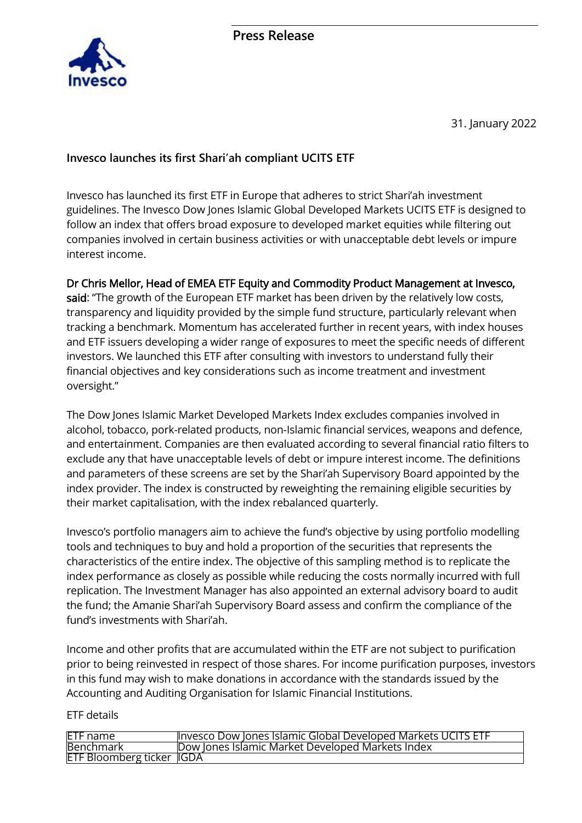

31. January 2022

# **Invesco launches its first Shari'ah compliant UCITS ETF**

Invesco has launched its first ETF in Europe that adheres to strict Shari'ah investment guidelines. The Invesco Dow Jones Islamic Global Developed Markets UCITS ETF is designed to follow an index that offers broad exposure to developed market equities while filtering out companies involved in certain business activities or with unacceptable debt levels or impure interest income.

## Dr Chris Mellor, Head of EMEA ETF Equity and Commodity Product Management at Invesco,

said: "The growth of the European ETF market has been driven by the relatively low costs, transparency and liquidity provided by the simple fund structure, particularly relevant when tracking a benchmark. Momentum has accelerated further in recent years, with index houses and ETF issuers developing a wider range of exposures to meet the specific needs of different investors. We launched this ETF after consulting with investors to understand fully their financial objectives and key considerations such as income treatment and investment oversight."

The Dow Jones Islamic Market Developed Markets Index excludes companies involved in alcohol, tobacco, pork-related products, non-Islamic financial services, weapons and defence, and entertainment. Companies are then evaluated according to several financial ratio filters to exclude any that have unacceptable levels of debt or impure interest income. The definitions and parameters of these screens are set by the Shari'ah Supervisory Board appointed by the index provider. The index is constructed by reweighting the remaining eligible securities by their market capitalisation, with the index rebalanced quarterly.

Invesco's portfolio managers aim to achieve the fund's objective by using portfolio modelling tools and techniques to buy and hold a proportion of the securities that represents the characteristics of the entire index. The objective of this sampling method is to replicate the index performance as closely as possible while reducing the costs normally incurred with full replication. The Investment Manager has also appointed an external advisory board to audit the fund; the Amanie Shari'ah Supervisory Board assess and confirm the compliance of the fund's investments with Shari'ah.

Income and other profits that are accumulated within the ETF are not subject to purification prior to being reinvested in respect of those shares. For income purification purposes, investors in this fund may wish to make donations in accordance with the standards issued by the Accounting and Auditing Organisation for Islamic Financial Institutions.

## ETF details

| <b>ETF</b> name                   | Invesco Dow Jones Islamic Global Developed Markets UCITS ETF |
|-----------------------------------|--------------------------------------------------------------|
| <b>Benchmark</b>                  | Dow Jones Islamic Market Developed Markets Index             |
| <b>ETF Bloomberg ticker IIGDA</b> |                                                              |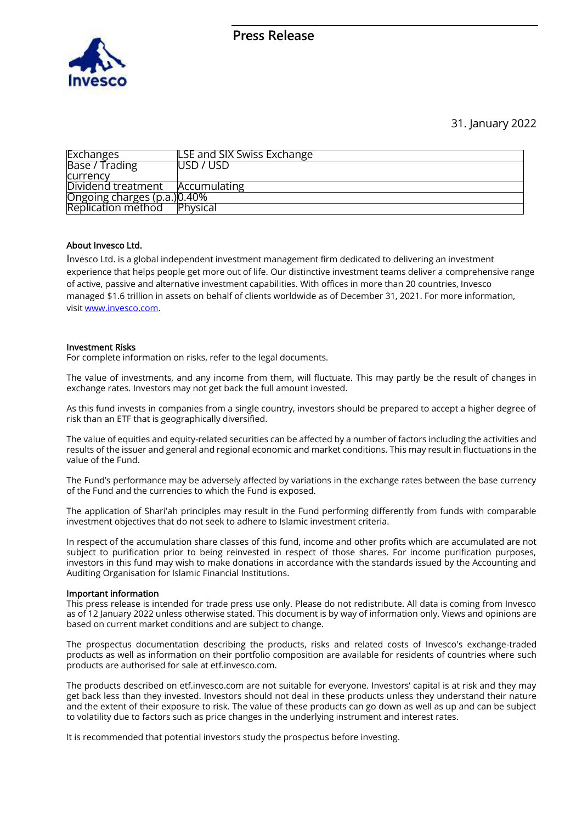

### 31. January 2022

| <b>Exchanges</b>            | <b>LSE and SIX Swiss Exchange</b> |
|-----------------------------|-----------------------------------|
| Base / Trading              | <b>USD 7 USD</b>                  |
| currency                    |                                   |
| Dividend treatment          | Accumulating                      |
| Ongoing charges (p.a.)0.40% |                                   |
| Replication method          | <b>Physical</b>                   |

### About Invesco Ltd.

Invesco Ltd. is a global independent investment management firm dedicated to delivering an investment experience that helps people get more out of life. Our distinctive investment teams deliver a comprehensive range of active, passive and alternative investment capabilities. With offices in more than 20 countries, Invesco managed \$1.6 trillion in assets on behalf of clients worldwide as of December 31, 2021. For more information, visit [www.invesco.com.](file://///communicators/dfs/Fincom/Invesco/Medienversände/2022/Bitcoin-ETP%20Launch/www.invesco.com)

### Investment Risks

For complete information on risks, refer to the legal documents.

The value of investments, and any income from them, will fluctuate. This may partly be the result of changes in exchange rates. Investors may not get back the full amount invested.

As this fund invests in companies from a single country, investors should be prepared to accept a higher degree of risk than an ETF that is geographically diversified.

The value of equities and equity-related securities can be affected by a number of factors including the activities and results of the issuer and general and regional economic and market conditions. This may result in fluctuations in the value of the Fund.

The Fund's performance may be adversely affected by variations in the exchange rates between the base currency of the Fund and the currencies to which the Fund is exposed.

The application of Shari'ah principles may result in the Fund performing differently from funds with comparable investment objectives that do not seek to adhere to Islamic investment criteria.

In respect of the accumulation share classes of this fund, income and other profits which are accumulated are not subject to purification prior to being reinvested in respect of those shares. For income purification purposes, investors in this fund may wish to make donations in accordance with the standards issued by the Accounting and Auditing Organisation for Islamic Financial Institutions.

#### Important information

This press release is intended for trade press use only. Please do not redistribute. All data is coming from Invesco as of 12 January 2022 unless otherwise stated. This document is by way of information only. Views and opinions are based on current market conditions and are subject to change.

The prospectus documentation describing the products, risks and related costs of Invesco's exchange-traded products as well as information on their portfolio composition are available for residents of countries where such products are authorised for sale at etf.invesco.com.

The products described on etf.invesco.com are not suitable for everyone. Investors' capital is at risk and they may get back less than they invested. Investors should not deal in these products unless they understand their nature and the extent of their exposure to risk. The value of these products can go down as well as up and can be subject to volatility due to factors such as price changes in the underlying instrument and interest rates.

It is recommended that potential investors study the prospectus before investing.